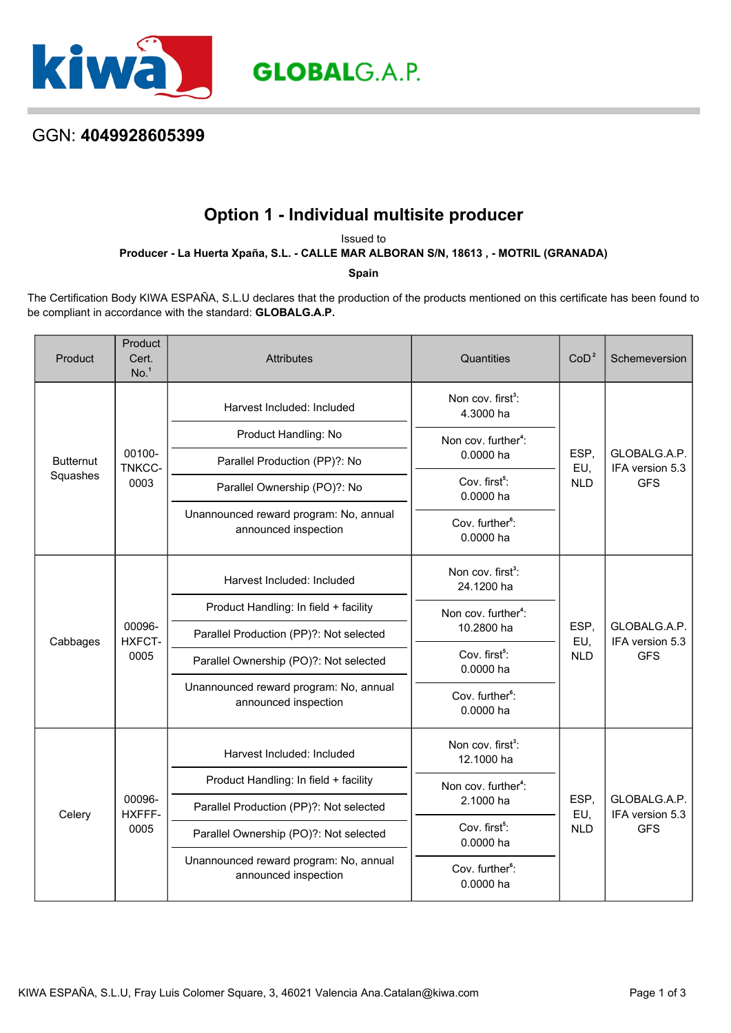

## GGN: **4049928605399**

# **Option 1 - Individual multisite producer**

Issued to

**Producer - La Huerta Xpaña, S.L. - CALLE MAR ALBORAN S/N, 18613 , - MOTRIL (GRANADA)**

**Spain**

The Certification Body KIWA ESPAÑA, S.L.U declares that the production of the products mentioned on this certificate has been found to be compliant in accordance with the standard: **GLOBALG.A.P.**

| Product                      | Product<br>Cert.<br>No. <sup>1</sup> | <b>Attributes</b>                                              | Quantities                                    | CoD <sup>2</sup>          | Schemeversion                                 |
|------------------------------|--------------------------------------|----------------------------------------------------------------|-----------------------------------------------|---------------------------|-----------------------------------------------|
| <b>Butternut</b><br>Squashes | 00100-<br>TNKCC-<br>0003             | Harvest Included: Included                                     | Non cov. first <sup>3</sup> :<br>4.3000 ha    | ESP,<br>EU,<br><b>NLD</b> | GLOBALG.A.P.<br>IFA version 5.3<br><b>GFS</b> |
|                              |                                      | Product Handling: No                                           | Non cov. further <sup>4</sup> :               |                           |                                               |
|                              |                                      | Parallel Production (PP)?: No                                  | 0.0000 ha                                     |                           |                                               |
|                              |                                      | Parallel Ownership (PO)?: No                                   | Cov. first <sup>5</sup> :<br>0.0000 ha        |                           |                                               |
|                              |                                      | Unannounced reward program: No, annual<br>announced inspection | Cov. further <sup>6</sup> :<br>0.0000 ha      |                           |                                               |
| Cabbages                     | 00096-<br>HXFCT-<br>0005             | Harvest Included: Included                                     | Non cov. first <sup>3</sup> :<br>24.1200 ha   | ESP,<br>EU,<br><b>NLD</b> | GLOBALG.A.P.<br>IFA version 5.3<br><b>GFS</b> |
|                              |                                      | Product Handling: In field + facility                          | Non cov. further <sup>4</sup> :<br>10.2800 ha |                           |                                               |
|                              |                                      | Parallel Production (PP)?: Not selected                        |                                               |                           |                                               |
|                              |                                      | Parallel Ownership (PO)?: Not selected                         | Cov. first <sup>5</sup> :<br>0.0000 ha        |                           |                                               |
|                              |                                      | Unannounced reward program: No, annual<br>announced inspection | Cov. further <sup>6</sup> :<br>0.0000 ha      |                           |                                               |
| Celery                       | 00096-<br>HXFFF-<br>0005             | Harvest Included: Included                                     | Non cov. first <sup>3</sup> :<br>12.1000 ha   | ESP,<br>EU,<br><b>NLD</b> | GLOBALG.A.P.<br>IFA version 5.3<br><b>GFS</b> |
|                              |                                      | Product Handling: In field + facility                          | Non cov. further <sup>4</sup> :<br>2.1000 ha  |                           |                                               |
|                              |                                      | Parallel Production (PP)?: Not selected                        |                                               |                           |                                               |
|                              |                                      | Parallel Ownership (PO)?: Not selected                         | Cov. first <sup>5</sup> :<br>0.0000 ha        |                           |                                               |
|                              |                                      | Unannounced reward program: No, annual<br>announced inspection | Cov. further <sup>6</sup> :<br>0.0000 ha      |                           |                                               |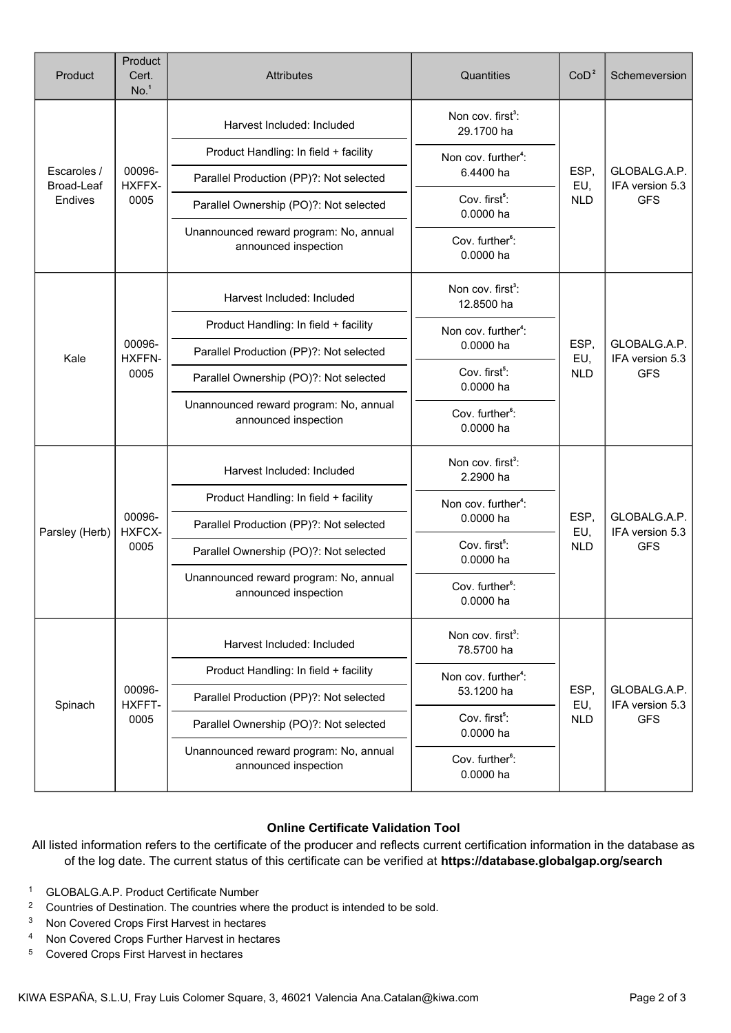| Product                              | Product<br>Cert.<br>No. <sup>1</sup> | <b>Attributes</b>                                              | Quantities                                                                              | CoD <sup>2</sup>          | Schemeversion                                 |
|--------------------------------------|--------------------------------------|----------------------------------------------------------------|-----------------------------------------------------------------------------------------|---------------------------|-----------------------------------------------|
| Escaroles /<br>Broad-Leaf<br>Endives | 00096-<br>HXFFX-<br>0005             | Harvest Included: Included                                     | Non cov. first <sup>3</sup> :<br>29.1700 ha                                             | ESP,<br>EU,<br><b>NLD</b> | GLOBALG.A.P.<br>IFA version 5.3<br><b>GFS</b> |
|                                      |                                      | Product Handling: In field + facility                          | Non cov. further <sup>4</sup> :                                                         |                           |                                               |
|                                      |                                      | Parallel Production (PP)?: Not selected                        | 6.4400 ha                                                                               |                           |                                               |
|                                      |                                      | Parallel Ownership (PO)?: Not selected                         | Cov. first <sup>5</sup> :<br>0.0000 ha                                                  |                           |                                               |
|                                      |                                      | Unannounced reward program: No, annual<br>announced inspection | Cov. further <sup>6</sup> :<br>0.0000 ha                                                |                           |                                               |
| Kale                                 | 00096-<br>HXFFN-<br>0005             | Harvest Included: Included                                     | Non cov. first <sup>3</sup> :<br>12.8500 ha                                             |                           | GLOBALG.A.P.<br>IFA version 5.3<br><b>GFS</b> |
|                                      |                                      | Product Handling: In field + facility                          | Non cov. further <sup>4</sup> :                                                         | ESP,<br>EU,<br><b>NLD</b> |                                               |
|                                      |                                      | Parallel Production (PP)?: Not selected                        | 0.0000 ha                                                                               |                           |                                               |
|                                      |                                      | Parallel Ownership (PO)?: Not selected                         | Cov. first <sup>5</sup> :<br>0.0000 ha                                                  |                           |                                               |
|                                      |                                      | Unannounced reward program: No, annual<br>announced inspection | Cov. further <sup>6</sup> :<br>0.0000 ha                                                |                           |                                               |
| Parsley (Herb)                       | 00096-<br>HXFCX-<br>0005             | Harvest Included: Included                                     | Non cov. first <sup>3</sup> :<br>2.2900 ha                                              | ESP,<br>EU,<br><b>NLD</b> | GLOBALG.A.P.<br>IFA version 5.3<br><b>GFS</b> |
|                                      |                                      | Product Handling: In field + facility                          | Non cov. further <sup>4</sup> :<br>0.0000 ha                                            |                           |                                               |
|                                      |                                      | Parallel Production (PP)?: Not selected                        |                                                                                         |                           |                                               |
|                                      |                                      | Parallel Ownership (PO)?: Not selected                         | Cov. first <sup>5</sup> :<br>0.0000 ha                                                  |                           |                                               |
|                                      |                                      | Unannounced reward program: No, annual<br>announced inspection | Cov. further <sup>6</sup> :<br>0.0000 ha                                                |                           |                                               |
| Spinach                              | 00096-<br>HXFFT-<br>0005             | Harvest Included: Included                                     | Non cov. first <sup>3</sup> :<br>78.5700 ha                                             | ESP,<br>EU,               | GLOBALG.A.P.<br>IFA version 5.3               |
|                                      |                                      | Product Handling: In field + facility                          | Non cov. further <sup>4</sup> :<br>53.1200 ha<br>Cov. first <sup>5</sup> :<br>0.0000 ha |                           |                                               |
|                                      |                                      | Parallel Production (PP)?: Not selected                        |                                                                                         |                           |                                               |
|                                      |                                      | Parallel Ownership (PO)?: Not selected                         |                                                                                         | <b>NLD</b>                | <b>GFS</b>                                    |
|                                      |                                      | Unannounced reward program: No, annual<br>announced inspection | Cov. further <sup>6</sup> :<br>0.0000 ha                                                |                           |                                               |

### **Online Certificate Validation Tool**

All listed information refers to the certificate of the producer and reflects current certification information in the database as of the log date. The current status of this certificate can be verified at **[https://database.globalgap.org/search](https://database.globalgap.org/globalgap/search/SearchMain.faces)**

- <sup>1</sup> GLOBALG.A.P. Product Certificate Number
- <sup>2</sup> Countries of Destination. The countries where the product is intended to be sold.
- <sup>3</sup> Non Covered Crops First Harvest in hectares
- <sup>4</sup> Non Covered Crops Further Harvest in hectares
- <sup>5</sup> Covered Crops First Harvest in hectares